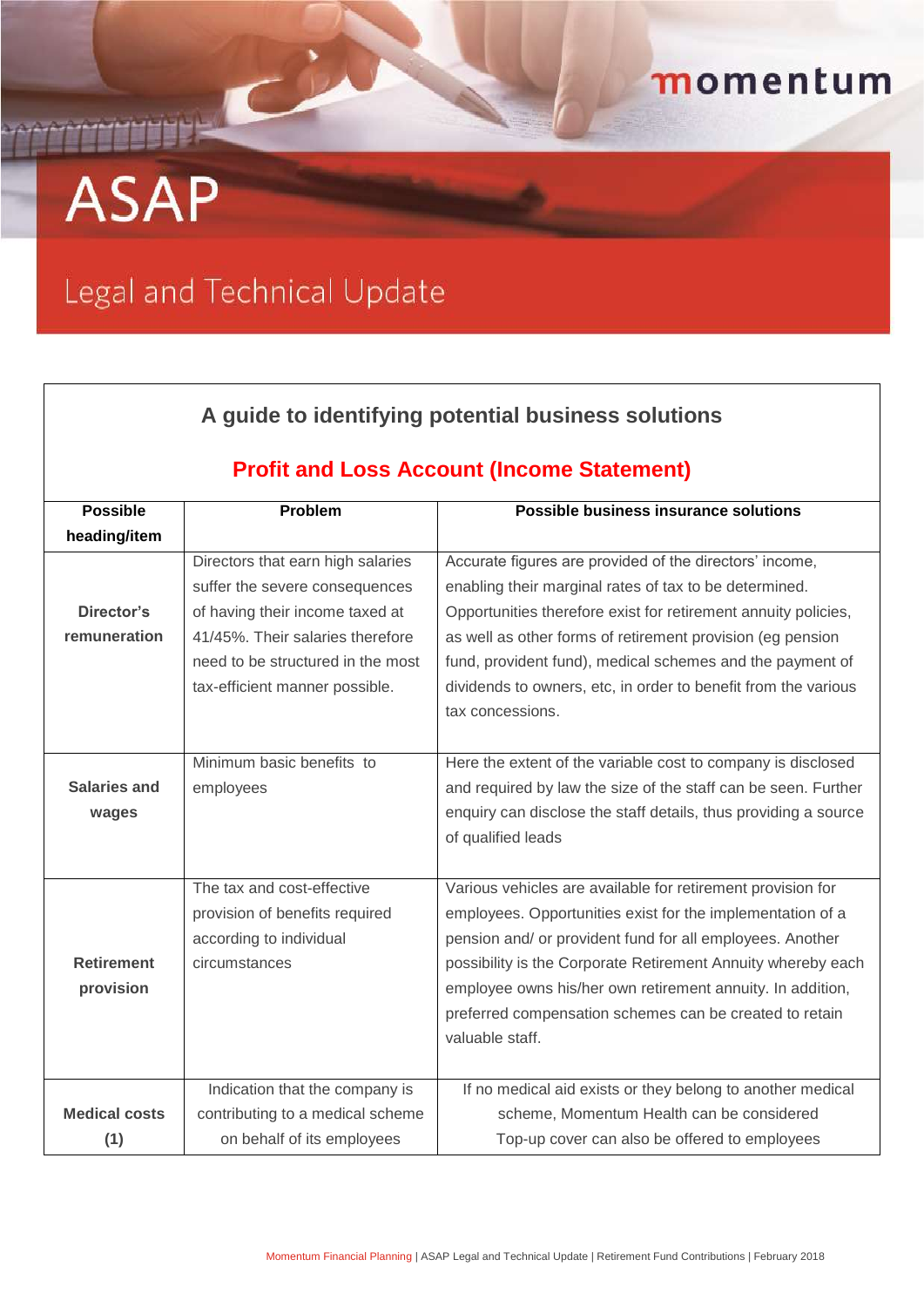## momentum

## **ASAP**

 $\Gamma$ 

## Legal and Technical Update

| A guide to identifying potential business solutions<br><b>Profit and Loss Account (Income Statement)</b> |                                   |                                                                 |  |
|----------------------------------------------------------------------------------------------------------|-----------------------------------|-----------------------------------------------------------------|--|
|                                                                                                          |                                   |                                                                 |  |
| heading/item                                                                                             |                                   |                                                                 |  |
|                                                                                                          | Directors that earn high salaries | Accurate figures are provided of the directors' income,         |  |
|                                                                                                          | suffer the severe consequences    | enabling their marginal rates of tax to be determined.          |  |
| Director's                                                                                               | of having their income taxed at   | Opportunities therefore exist for retirement annuity policies,  |  |
| remuneration                                                                                             | 41/45%. Their salaries therefore  | as well as other forms of retirement provision (eg pension      |  |
|                                                                                                          | need to be structured in the most | fund, provident fund), medical schemes and the payment of       |  |
|                                                                                                          | tax-efficient manner possible.    | dividends to owners, etc, in order to benefit from the various  |  |
|                                                                                                          |                                   | tax concessions.                                                |  |
|                                                                                                          |                                   |                                                                 |  |
|                                                                                                          | Minimum basic benefits to         | Here the extent of the variable cost to company is disclosed    |  |
| <b>Salaries and</b>                                                                                      | employees                         | and required by law the size of the staff can be seen. Further  |  |
| wages                                                                                                    |                                   | enquiry can disclose the staff details, thus providing a source |  |
|                                                                                                          |                                   | of qualified leads                                              |  |
|                                                                                                          |                                   |                                                                 |  |
|                                                                                                          | The tax and cost-effective        | Various vehicles are available for retirement provision for     |  |
|                                                                                                          | provision of benefits required    | employees. Opportunities exist for the implementation of a      |  |
|                                                                                                          | according to individual           | pension and/ or provident fund for all employees. Another       |  |
| <b>Retirement</b>                                                                                        | circumstances                     | possibility is the Corporate Retirement Annuity whereby each    |  |
| provision                                                                                                |                                   | employee owns his/her own retirement annuity. In addition,      |  |
|                                                                                                          |                                   | preferred compensation schemes can be created to retain         |  |
|                                                                                                          |                                   | valuable staff.                                                 |  |
|                                                                                                          |                                   |                                                                 |  |
|                                                                                                          | Indication that the company is    | If no medical aid exists or they belong to another medical      |  |
| <b>Medical costs</b>                                                                                     | contributing to a medical scheme  | scheme, Momentum Health can be considered                       |  |
| (1)                                                                                                      | on behalf of its employees        | Top-up cover can also be offered to employees                   |  |